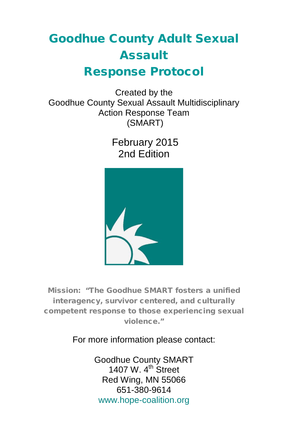# Goodhue County Adult Sexual Assault Response Protocol

Created by the Goodhue County Sexual Assault Multidisciplinary Action Response Team (SMART)

> February 2015 2nd Edition



Mission: "The Goodhue SMART fosters a unified interagency, survivor centered, and culturally competent response to those experiencing sexual violence."

For more information please contact:

Goodhue County SMART 1407 W.  $4<sup>th</sup>$  Street Red Wing, MN 55066 651-380-9614 [www.hope-coalition.org](http://hope-coalition.org/haven-of-hope/smart-team/)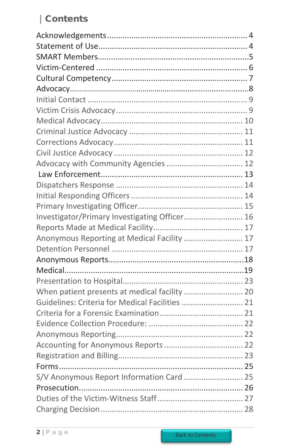# Contents

<span id="page-1-0"></span>

| Advocacy with Community Agencies  12            |  |
|-------------------------------------------------|--|
|                                                 |  |
|                                                 |  |
|                                                 |  |
|                                                 |  |
| Investigator/Primary Investigating Officer 16   |  |
|                                                 |  |
| Anonymous Reporting at Medical Facility  17     |  |
|                                                 |  |
|                                                 |  |
|                                                 |  |
|                                                 |  |
| When patient presents at medical facility  20   |  |
| Guidelines: Criteria for Medical Facilities  21 |  |
|                                                 |  |
|                                                 |  |
|                                                 |  |
|                                                 |  |
|                                                 |  |
|                                                 |  |
| S/V Anonymous Report Information Card  25       |  |
|                                                 |  |
|                                                 |  |
|                                                 |  |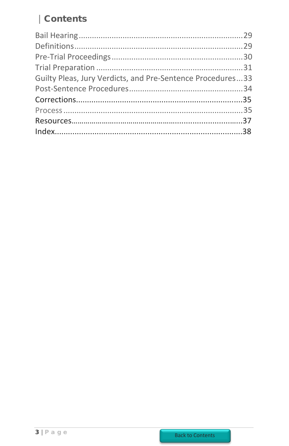# | Contents

| Guilty Pleas, Jury Verdicts, and Pre-Sentence Procedures33 |  |
|------------------------------------------------------------|--|
|                                                            |  |
|                                                            |  |
|                                                            |  |
|                                                            |  |
|                                                            |  |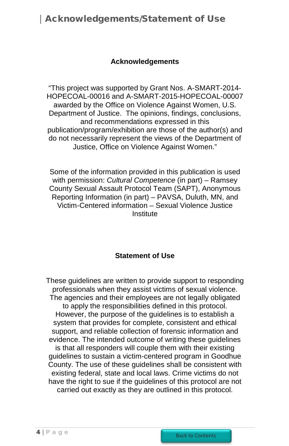## Acknowledgements/Statement of Use

#### **Acknowledgements**

<span id="page-3-0"></span>"This project was supported by Grant Nos. A-SMART-2014- HOPECOAL-00016 and A-SMART-2015-HOPECOAL-00007 awarded by the Office on Violence Against Women, U.S. Department of Justice. The opinions, findings, conclusions, and recommendations expressed in this publication/program/exhibition are those of the author(s) and do not necessarily represent the views of the Department of Justice, Office on Violence Against Women."

Some of the information provided in this publication is used with permission: *Cultural Competence* (in part) – Ramsey County Sexual Assault Protocol Team (SAPT), Anonymous Reporting Information (in part) – PAVSA, Duluth, MN, and Victim-Centered information – Sexual Violence Justice Institute

#### **Statement of Use**

<span id="page-3-1"></span>These guidelines are written to provide support to responding professionals when they assist victims of sexual violence. The agencies and their employees are not legally obligated to apply the responsibilities defined in this protocol. However, the purpose of the guidelines is to establish a system that provides for complete, consistent and ethical support, and reliable collection of forensic information and evidence. The intended outcome of writing these guidelines is that all responders will couple them with their existing guidelines to sustain a victim-centered program in Goodhue County. The use of these guidelines shall be consistent with existing federal, state and local laws. Crime victims do not have the right to sue if the guidelines of this protocol are not carried out exactly as they are outlined in this protocol.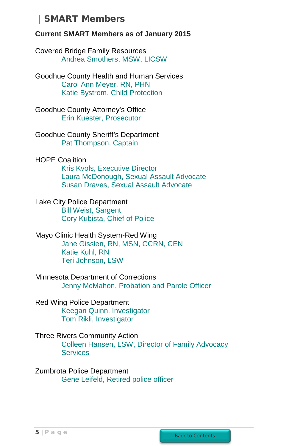## SMART Members

#### <span id="page-4-0"></span>**Current SMART Members as of January 2015**

Covered Bridge Family Resources [Andrea Smothers, MSW, LICSW](mailto:andreaatcbfr@hcinet.net)

Goodhue County Health and Human Services [Carol Ann Meyer, RN, PHN](mailto:carol-ann.meyer@co.goodhue.mn.us) Katie [Bystrom, Child Protection](mailto:katie.bystrom@co.goodhue.mn.us)

Goodhue County Attorney's Office [Erin Kuester, Prosecutor](mailto:erin.l.kuester@co.goodhue.mn.us)

Goodhue County Sheriff's Department [Pat Thompson, Captain](mailto:pat.thompson@co.goodhue.mn.us)

HOPE Coalition

[Kris Kvols, Executive Director](mailto:kkvols@hope-coalition.org) [Laura McDonough, Sexual Assault Advocate](mailto:lmcdonough@hope-coalition.org) [Susan Draves, Sexual Assault Advocate](mailto:sdraves@hope-coalition.org)

Lake City Police Department [Bill Weist, Sargent](mailto:bweist@lakecitypd.org) [Cory Kubista, Chief of Police](mailto:ckubista@lakecitypd.org)

Mayo Clinic Health System-Red Wing [Jane Gisslen, RN, MSN, CCRN, CEN](mailto:gisslen.jane@mayo.edu) [Katie Kuhl, RN](mailto:kuhl.kathleen@mayo.edu) [Teri Johnson, LSW](mailto:johnson.teri@mayo.edu)

Minnesota Department of Corrections [Jenny McMahon, Probation and Parole Officer](mailto:jenny.r.mcmahon@state.mn.us)

Red Wing Police Department [Keegan Quinn, Investigator](mailto:keegan.quinn@ci.red-wing.mn.us) [Tom Rikli, Investigator](mailto:tom.rikli@ci.red-wing.mn.us)

Three Rivers Community Action [Colleen Hansen, LSW, Director of Family Advocacy](mailto:colleen.hansen@threeriverscap.org)  **[Services](mailto:colleen.hansen@threeriverscap.org)** 

Zumbrota Police Department [Gene Leifeld, Retired police](mailto:eleifeld@outlook.com) officer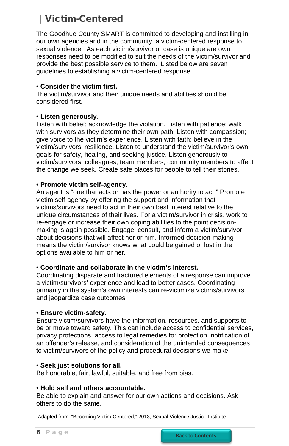# Victim-Centered

<span id="page-5-0"></span>The Goodhue County SMART is committed to developing and instilling in our own agencies and in the community, a victim-centered response to sexual violence. As each victim/survivor or case is unique are own responses need to be modified to suit the needs of the victim/survivor and provide the best possible service to them. Listed below are seven guidelines to establishing a victim-centered response.

#### • **Consider the victim first.**

The victim/survivor and their unique needs and abilities should be considered first.

#### • **Listen generously**.

Listen with belief; acknowledge the violation. Listen with patience; walk with survivors as they determine their own path. Listen with compassion; give voice to the victim's experience. Listen with faith; believe in the victim/survivors' resilience. Listen to understand the victim/survivor's own goals for safety, healing, and seeking justice. Listen generously to victim/survivors, colleagues, team members, community members to affect the change we seek. Create safe places for people to tell their stories.

#### • **Promote victim self-agency.**

An agent is "one that acts or has the power or authority to act." Promote victim self-agency by offering the support and information that victims/survivors need to act in their own best interest relative to the unique circumstances of their lives. For a victim/survivor in crisis, work to re-engage or increase their own coping abilities to the point decisionmaking is again possible. Engage, consult, and inform a victim/survivor about decisions that will affect her or him. Informed decision-making means the victim/survivor knows what could be gained or lost in the options available to him or her.

#### • **Coordinate and collaborate in the victim's interest.**

Coordinating disparate and fractured elements of a response can improve a victim/survivors' experience and lead to better cases. Coordinating primarily in the system's own interests can re-victimize victims/survivors and jeopardize case outcomes.

#### • **Ensure victim-safety.**

Ensure victim/survivors have the information, resources, and supports to be or move toward safety. This can include access to confidential services, privacy protections, access to legal remedies for protection, notification of an offender's release, and consideration of the unintended consequences to victim/survivors of the policy and procedural decisions we make.

#### • **Seek just solutions for all.**

Be honorable, fair, lawful, suitable, and free from bias.

#### • **Hold self and others accountable.**

Be able to explain and answer for our own actions and decisions. Ask others to do the same.

-Adapted from: "Becoming Victim-Centered," 2013, Sexual Violence Justice Institute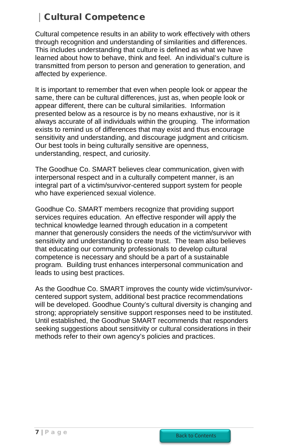# Cultural Competence

<span id="page-6-0"></span>Cultural competence results in an ability to work effectively with others through recognition and understanding of similarities and differences. This includes understanding that culture is defined as what we have learned about how to behave, think and feel. An individual's culture is transmitted from person to person and generation to generation, and affected by experience.

It is important to remember that even when people look or appear the same, there can be cultural differences, just as, when people look or appear different, there can be cultural similarities. Information presented below as a resource is by no means exhaustive, nor is it always accurate of all individuals within the grouping. The information exists to remind us of differences that may exist and thus encourage sensitivity and understanding, and discourage judgment and criticism. Our best tools in being culturally sensitive are openness, understanding, respect, and curiosity.

The Goodhue Co. SMART believes clear communication, given with interpersonal respect and in a culturally competent manner, is an integral part of a victim/survivor-centered support system for people who have experienced sexual violence.

Goodhue Co. SMART members recognize that providing support services requires education. An effective responder will apply the technical knowledge learned through education in a competent manner that generously considers the needs of the victim/survivor with sensitivity and understanding to create trust. The team also believes that educating our community professionals to develop cultural competence is necessary and should be a part of a sustainable program. Building trust enhances interpersonal communication and leads to using best practices.

As the Goodhue Co. SMART improves the county wide victim/survivorcentered support system, additional best practice recommendations will be developed. Goodhue County's cultural diversity is changing and strong; appropriately sensitive support responses need to be instituted. Until established, the Goodhue SMART recommends that responders seeking suggestions about sensitivity or cultural considerations in their methods refer to their own agency's policies and practices.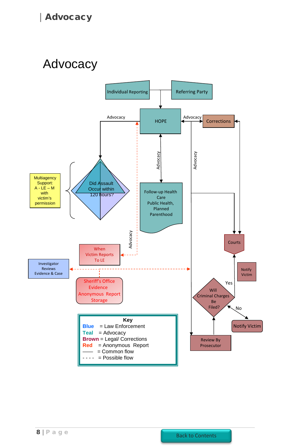# <span id="page-7-0"></span>Advocacy

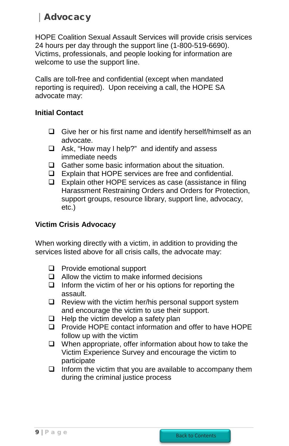<span id="page-8-1"></span>HOPE Coalition Sexual Assault Services will provide crisis services 24 hours per day through the support line (1-800-519-6690). Victims, professionals, and people looking for information are welcome to use the support line.

Calls are toll-free and confidential (except when mandated reporting is required). Upon receiving a call, the HOPE SA advocate may:

### <span id="page-8-0"></span>**Initial Contact**

- $\Box$  Give her or his first name and identify herself/himself as an advocate.
- $\Box$  Ask, "How may I help?" and identify and assess immediate needs
- $\Box$  Gather some basic information about the situation.
- Explain that HOPE services are free and confidential.
- $\Box$  Explain other HOPE services as case (assistance in filing Harassment Restraining Orders and Orders for Protection, support groups, resource library, support line, advocacy, etc.)

## **Victim Crisis Advocacy**

When working directly with a victim, in addition to providing the services listed above for all crisis calls, the advocate may:

- **Provide emotional support**
- $\Box$  Allow the victim to make informed decisions
- $\Box$  Inform the victim of her or his options for reporting the assault.
- $\Box$  Review with the victim her/his personal support system and encourage the victim to use their support.
- $\Box$  Help the victim develop a safety plan
- □ Provide HOPE contact information and offer to have HOPE follow up with the victim
- $\Box$  When appropriate, offer information about how to take the Victim Experience Survey and encourage the victim to participate
- <span id="page-8-2"></span> $\Box$  Inform the victim that you are available to accompany them during the criminal justice process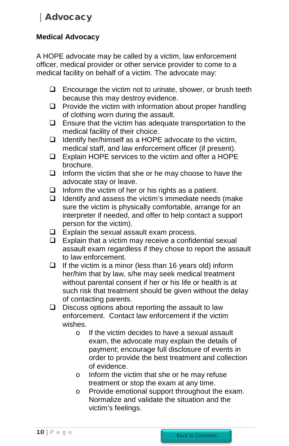## <span id="page-9-0"></span>**Medical Advocacy**

A HOPE advocate may be called by a victim, law enforcement officer, medical provider or other service provider to come to a medical facility on behalf of a victim. The advocate may:

- $\Box$  Encourage the victim not to urinate, shower, or brush teeth because this may destroy evidence.
- $\Box$  Provide the victim with information about proper handling of clothing worn during the assault.
- $\Box$  Ensure that the victim has adequate transportation to the medical facility of their choice.
- $\Box$  Identify her/himself as a HOPE advocate to the victim, medical staff, and law enforcement officer (if present).
- Explain HOPE services to the victim and offer a HOPE brochure.
- $\Box$  Inform the victim that she or he may choose to have the advocate stay or leave.
- $\Box$  Inform the victim of her or his rights as a patient.
- $\Box$  Identify and assess the victim's immediate needs (make sure the victim is physically comfortable, arrange for an interpreter if needed, and offer to help contact a support person for the victim).
- $\Box$  Explain the sexual assault exam process.
- $\Box$  Explain that a victim may receive a confidential sexual assault exam regardless if they chose to report the assault to law enforcement.
- $\Box$  If the victim is a minor (less than 16 years old) inform her/him that by law, s/he may seek medical treatment without parental consent if her or his life or health is at such risk that treatment should be given without the delay of contacting parents.
- $\square$  Discuss options about reporting the assault to law enforcement. Contact law enforcement if the victim wishes.
	- o If the victim decides to have a sexual assault exam, the advocate may explain the details of payment; encourage full disclosure of events in order to provide the best treatment and collection of evidence.
	- o Inform the victim that she or he may refuse treatment or stop the exam at any time.
	- o Provide emotional support throughout the exam. Normalize and validate the situation and the victim's feelings.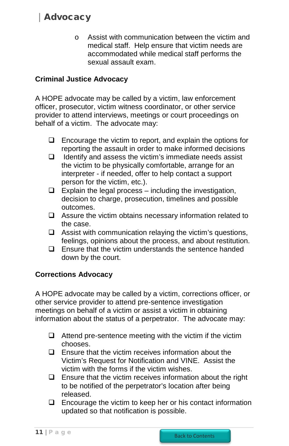<span id="page-10-0"></span>o Assist with communication between the victim and medical staff. Help ensure that victim needs are accommodated while medical staff performs the sexual assault exam.

## **Criminal Justice Advocacy**

A HOPE advocate may be called by a victim, law enforcement officer, prosecutor, victim witness coordinator, or other service provider to attend interviews, meetings or court proceedings on behalf of a victim. The advocate may:

- $\Box$  Encourage the victim to report, and explain the options for reporting the assault in order to make informed decisions
- $\Box$  Identify and assess the victim's immediate needs assist the victim to be physically comfortable, arrange for an interpreter - if needed, offer to help contact a support person for the victim, etc.).
- $\Box$  Explain the legal process including the investigation, decision to charge, prosecution, timelines and possible outcomes.
- $\Box$  Assure the victim obtains necessary information related to the case.
- $\Box$  Assist with communication relaying the victim's questions, feelings, opinions about the process, and about restitution.
- $\Box$  Ensure that the victim understands the sentence handed down by the court.

#### **Corrections Advocacy**

A HOPE advocate may be called by a victim, corrections officer, or other service provider to attend pre-sentence investigation meetings on behalf of a victim or assist a victim in obtaining information about the status of a perpetrator. The advocate may:

- $\Box$  Attend pre-sentence meeting with the victim if the victim chooses.
- $\Box$  Ensure that the victim receives information about the Victim's Request for Notification and VINE. Assist the victim with the forms if the victim wishes.
- $\square$  Ensure that the victim receives information about the right to be notified of the perpetrator's location after being released.
- $\Box$  Encourage the victim to keep her or his contact information updated so that notification is possible.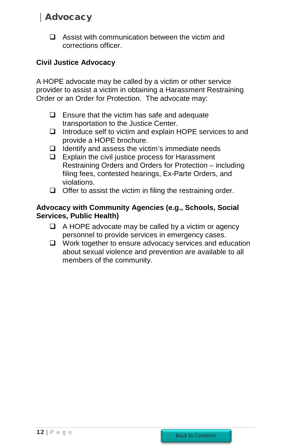<span id="page-11-0"></span> $\Box$  Assist with communication between the victim and corrections officer.

## **Civil Justice Advocacy**

A HOPE advocate may be called by a victim or other service provider to assist a victim in obtaining a Harassment Restraining Order or an Order for Protection. The advocate may:

- $\Box$  Ensure that the victim has safe and adequate transportation to the Justice Center.
- $\Box$  Introduce self to victim and explain HOPE services to and provide a HOPE brochure.
- $\Box$  Identify and assess the victim's immediate needs
- $\Box$  Explain the civil justice process for Harassment Restraining Orders and Orders for Protection – including filing fees, contested hearings, Ex-Parte Orders, and violations.
- $\Box$  Offer to assist the victim in filing the restraining order.

### **Advocacy with Community Agencies (e.g., Schools, Social Services, Public Health)**

- $\Box$  A HOPE advocate may be called by a victim or agency personnel to provide services in emergency cases.
- □ Work together to ensure advocacy services and education about sexual violence and prevention are available to all members of the community.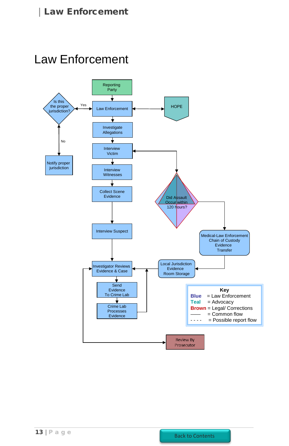<span id="page-12-0"></span>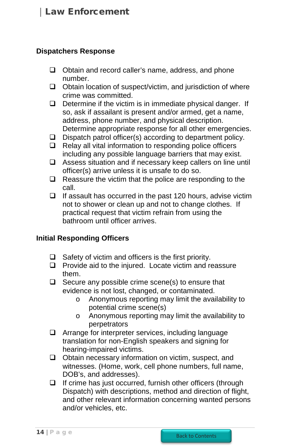#### <span id="page-13-0"></span>**Dispatchers Response**

- $\Box$  Obtain and record caller's name, address, and phone number.
- $\Box$  Obtain location of suspect/victim, and jurisdiction of where crime was committed.
- $\Box$  Determine if the victim is in immediate physical danger. If so, ask if assailant is present and/or armed, get a name, address, phone number, and physical description. Determine appropriate response for all other emergencies.
- $\Box$  Dispatch patrol officer(s) according to department policy.
- $\Box$  Relay all vital information to responding police officers including any possible language barriers that may exist.
- Assess situation and if necessary keep callers on line until officer(s) arrive unless it is unsafe to do so.
- $\Box$  Reassure the victim that the police are responding to the call.
- $\Box$  If assault has occurred in the past 120 hours, advise victim not to shower or clean up and not to change clothes. If practical request that victim refrain from using the bathroom until officer arrives.

#### **Initial Responding Officers**

- $\Box$  Safety of victim and officers is the first priority.
- $\Box$  Provide aid to the injured. Locate victim and reassure them.
- $\Box$  Secure any possible crime scene(s) to ensure that evidence is not lost, changed, or contaminated.
	- o Anonymous reporting may limit the availability to potential crime scene(s)
	- o Anonymous reporting may limit the availability to perpetrators
- Arrange for interpreter services, including language translation for non-English speakers and signing for hearing-impaired victims.
- $\Box$  Obtain necessary information on victim, suspect, and witnesses. (Home, work, cell phone numbers, full name, DOB's, and addresses).
- $\Box$  If crime has just occurred, furnish other officers (through Dispatch) with descriptions, method and direction of flight, and other relevant information concerning wanted persons and/or vehicles, etc.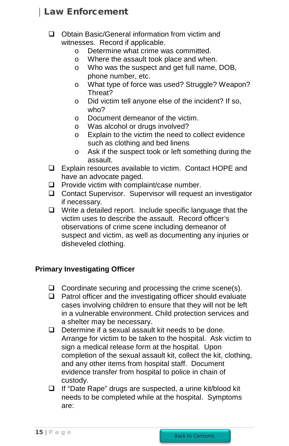- <span id="page-14-0"></span>□ Obtain Basic/General information from victim and witnesses. Record if applicable.
	- $\circ$  Determine what crime was committed.<br> $\circ$  Where the assault took place and when
	- $\circ$  Where the assault took place and when.<br> $\circ$  Who was the suspect and get full name
	- Who was the suspect and get full name, DOB, phone number, etc.
	- o What type of force was used? Struggle? Weapon? Threat?
	- o Did victim tell anyone else of the incident? If so, who?
	- o Document demeanor of the victim.
	- $\circ$  Was alcohol or drugs involved?<br> $\circ$  Explain to the victim the need to
	- Explain to the victim the need to collect evidence such as clothing and bed linens
	- o Ask if the suspect took or left something during the assault.
- □ Explain resources available to victim. Contact HOPE and have an advocate paged.
- $\Box$  Provide victim with complaint/case number.
- □ Contact Supervisor. Supervisor will request an investigator if necessary.
- $\Box$  Write a detailed report. Include specific language that the victim uses to describe the assault. Record officer's observations of crime scene including demeanor of suspect and victim, as well as documenting any injuries or disheveled clothing.

## **Primary Investigating Officer**

- $\Box$  Coordinate securing and processing the crime scene(s).
- $\Box$  Patrol officer and the investigating officer should evaluate cases involving children to ensure that they will not be left in a vulnerable environment. Child protection services and a shelter may be necessary.
- $\Box$  Determine if a sexual assault kit needs to be done. Arrange for victim to be taken to the hospital. Ask victim to sign a medical release form at the hospital. Upon completion of the sexual assault kit, collect the kit, clothing, and any other items from hospital staff. Document evidence transfer from hospital to police in chain of custody.
- If "Date Rape" drugs are suspected, a urine kit/blood kit needs to be completed while at the hospital. Symptoms are: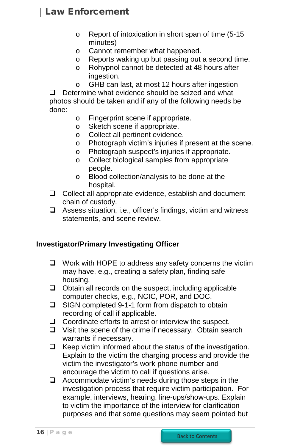- o Report of intoxication in short span of time (5-15 minutes)
- o Cannot remember what happened.
- $\circ$  Reports waking up but passing out a second time.<br> $\circ$  Rohypnol cannot be detected at 48 hours after
- Rohypnol cannot be detected at 48 hours after ingestion.
- o GHB can last, at most 12 hours after ingestion

 $\Box$  Determine what evidence should be seized and what photos should be taken and if any of the following needs be done:

- o Fingerprint scene if appropriate.
- o Sketch scene if appropriate.<br>
o Collect all pertinent evidence
- Collect all pertinent evidence.
- o Photograph victim's injuries if present at the scene.
- Photograph suspect's injuries if appropriate.<br>○ Collect biological samples from appropriate
- Collect biological samples from appropriate people.
- o Blood collection/analysis to be done at the hospital.
- $\Box$  Collect all appropriate evidence, establish and document chain of custody.
- Assess situation, i.e., officer's findings, victim and witness statements, and scene review.

#### <span id="page-15-0"></span>**Investigator/Primary Investigating Officer**

- $\Box$  Work with HOPE to address any safety concerns the victim may have, e.g., creating a safety plan, finding safe housing.
- $\Box$  Obtain all records on the suspect, including applicable computer checks, e.g., NCIC, POR, and DOC.
- $\square$  SIGN completed 9-1-1 form from dispatch to obtain recording of call if applicable.
- $\Box$  Coordinate efforts to arrest or interview the suspect.
- $\Box$  Visit the scene of the crime if necessary. Obtain search warrants if necessary.
- $\Box$  Keep victim informed about the status of the investigation. Explain to the victim the charging process and provide the victim the investigator's work phone number and encourage the victim to call if questions arise.
- $\Box$  Accommodate victim's needs during those steps in the investigation process that require victim participation. For example, interviews, hearing, line-ups/show-ups. Explain to victim the importance of the interview for clarification purposes and that some questions may seem pointed but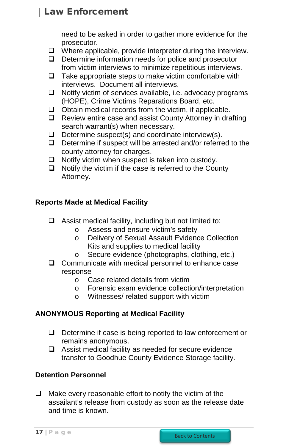need to be asked in order to gather more evidence for the prosecutor.

- <span id="page-16-0"></span> $\Box$  Where applicable, provide interpreter during the interview.
- $\Box$  Determine information needs for police and prosecutor from victim interviews to minimize repetitious interviews.
- $\Box$  Take appropriate steps to make victim comfortable with interviews. Document all interviews.
- $\Box$  Notify victim of services available, i.e. advocacy programs (HOPE), Crime Victims Reparations Board, etc.
- $\Box$  Obtain medical records from the victim, if applicable.
- □ Review entire case and assist County Attorney in drafting search warrant(s) when necessary.
- $\Box$  Determine suspect(s) and coordinate interview(s).
- $\Box$  Determine if suspect will be arrested and/or referred to the county attorney for charges.
- $\Box$  Notify victim when suspect is taken into custody.
- $\Box$  Notify the victim if the case is referred to the County Attorney.

## **Reports Made at Medical Facility**

- $\Box$  Assist medical facility, including but not limited to:
	- o Assess and ensure victim's safety
	- o Delivery of Sexual Assault Evidence Collection Kits and supplies to medical facility
	- o Secure evidence (photographs, clothing, etc.)
- $\Box$  Communicate with medical personnel to enhance case response
	- o Case related details from victim
	- o Forensic exam evidence collection/interpretation
	- o Witnesses/ related support with victim

## **ANONYMOUS Reporting at Medical Facility**

- $\Box$  Determine if case is being reported to law enforcement or remains anonymous.
- $\Box$  Assist medical facility as needed for secure evidence transfer to Goodhue County Evidence Storage facility.

## <span id="page-16-1"></span>**Detention Personnel**

 $\Box$  Make every reasonable effort to notify the victim of the assailant's release from custody as soon as the release date and time is known.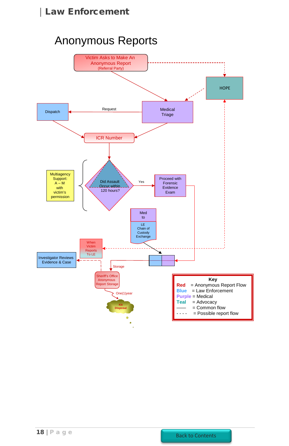# Anonymous Reports

<span id="page-17-0"></span>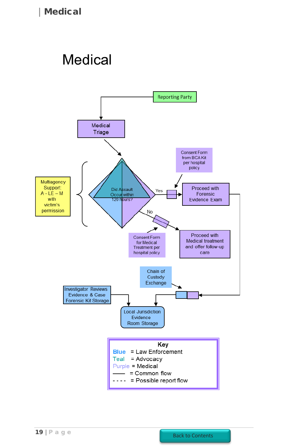# <span id="page-18-0"></span>**Medical**

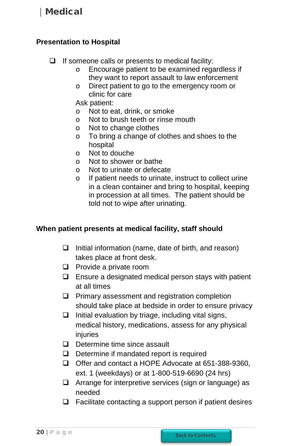#### <span id="page-19-0"></span>**Presentation to Hospital**

- $\Box$  If someone calls or presents to medical facility:
	- o Encourage patient to be examined regardless if they want to report assault to law enforcement
	- o Direct patient to go to the emergency room or clinic for care

Ask patient:

- o Not to eat, drink, or smoke<br>
o Not to brush teeth or rinse
- Not to brush teeth or rinse mouth
- o Not to change clothes
- o To bring a change of clothes and shoes to the hospital
- o Not to douche
- o Not to shower or bathe
- o Not to urinate or defecate
- o If patient needs to urinate, instruct to collect urine in a clean container and bring to hospital, keeping in procession at all times. The patient should be told not to wipe after urinating.

#### <span id="page-19-1"></span>**When patient presents at medical facility, staff should**

- $\Box$  Initial information (name, date of birth, and reason) takes place at front desk.
- $\Box$  Provide a private room
- $\Box$  Ensure a designated medical person stays with patient at all times
- $\Box$  Primary assessment and registration completion should take place at bedside in order to ensure privacy
- $\Box$  Initial evaluation by triage, including vital signs, medical history, medications, assess for any physical injuries
- Determine time since assault
- $\Box$  Determine if mandated report is required
- Offer and contact a HOPE Advocate at 651-388-9360, ext. 1 (weekdays) or at 1-800-519-6690 (24 hrs)
- $\Box$  Arrange for interpretive services (sign or language) as needed
- $\Box$  Facilitate contacting a support person if patient desires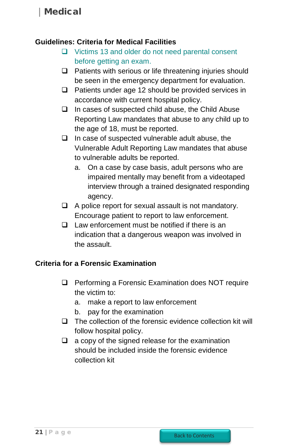#### <span id="page-20-0"></span>**Guidelines: Criteria for Medical Facilities**

- [Victims 13 and older do not need parental consent](https://www.dropbox.com/s/ca9k9w6kkjfyazh/Model%20Policies.pdf) [before getting an exam.](https://www.dropbox.com/s/ca9k9w6kkjfyazh/Model%20Policies.pdf)
- $\Box$  Patients with serious or life threatening injuries should be seen in the emergency department for evaluation.
- $\Box$  Patients under age 12 should be provided services in accordance with current hospital policy.
- $\Box$  In cases of suspected child abuse, the Child Abuse Reporting Law mandates that abuse to any child up to the age of 18, must be reported.
- $\Box$  In case of suspected vulnerable adult abuse, the Vulnerable Adult Reporting Law mandates that abuse to vulnerable adults be reported.
	- a. On a case by case basis, adult persons who are impaired mentally may benefit from a videotaped interview through a trained designated responding agency.
- $\Box$  A police report for sexual assault is not mandatory. Encourage patient to report to law enforcement.
- $\Box$  Law enforcement must be notified if there is an indication that a dangerous weapon was involved in the assault.

## <span id="page-20-1"></span>**Criteria for a Forensic Examination**

- $\Box$  Performing a Forensic Examination does NOT require the victim to:
	- a. make a report to law enforcement
	- b. pay for the examination
- $\Box$  The collection of the forensic evidence collection kit will follow hospital policy.
- <span id="page-20-2"></span> $\Box$  a copy of the signed release for the examination should be included inside the forensic evidence collection kit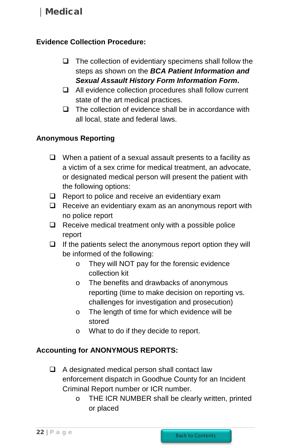## <span id="page-21-2"></span>**Evidence Collection Procedure:**

- $\Box$  The collection of evidentiary specimens shall follow the steps as shown on the *BCA Patient Information and Sexual Assault History Form Information Form***.**
- $\Box$  All evidence collection procedures shall follow current state of the art medical practices.
- $\Box$  The collection of evidence shall be in accordance with all local, state and federal laws.

## <span id="page-21-0"></span>**Anonymous Reporting**

- $\Box$  When a patient of a sexual assault presents to a facility as a victim of a sex crime for medical treatment, an advocate, or designated medical person will present the patient with the following options:
- $\Box$  Report to police and receive an evidentiary exam
- $\Box$  Receive an evidentiary exam as an anonymous report with no police report
- $\Box$  Receive medical treatment only with a possible police report
- $\Box$  If the patients select the anonymous report option they will be informed of the following:
	- o They will NOT pay for the forensic evidence collection kit
	- o The benefits and drawbacks of anonymous reporting (time to make decision on reporting vs. challenges for investigation and prosecution)
	- o The length of time for which evidence will be stored
	- o What to do if they decide to report.

#### <span id="page-21-1"></span>**Accounting for ANONYMOUS REPORTS:**

- $\Box$  A designated medical person shall contact law enforcement dispatch in Goodhue County for an Incident Criminal Report number or ICR number.
	- o THE ICR NUMBER shall be clearly written, printed or placed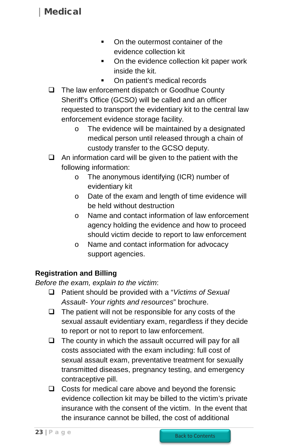- On the outermost container of the evidence collection kit
- On the evidence collection kit paper work inside the kit.
- On patient's medical records
- <span id="page-22-0"></span> $\Box$  The law enforcement dispatch or Goodhue County Sheriff's Office (GCSO) will be called and an officer requested to transport the evidentiary kit to the central law enforcement evidence storage facility.
	- o The evidence will be maintained by a designated medical person until released through a chain of custody transfer to the GCSO deputy.
- $\Box$  An information card will be given to the patient with the following information:
	- o The anonymous identifying (ICR) number of evidentiary kit
	- o Date of the exam and length of time evidence will be held without destruction
	- o Name and contact information of law enforcement agency holding the evidence and how to proceed should victim decide to report to law enforcement
	- o Name and contact information for advocacy support agencies.

## **Registration and Billing**

*Before the exam, explain to the victim*:

- Patient should be provided with a "*Victims of Sexual Assault- Your rights and resources*" brochure.
- $\Box$  The patient will not be responsible for any costs of the sexual assault evidentiary exam, regardless if they decide to report or not to report to law enforcement.
- $\Box$  The county in which the assault occurred will pay for all costs associated with the exam including: full cost of sexual assault exam, preventative treatment for sexually transmitted diseases, pregnancy testing, and emergency contraceptive pill.
- $\Box$  Costs for medical care above and beyond the forensic evidence collection kit may be billed to the victim's private insurance with the consent of the victim. In the event that the insurance cannot be billed, the cost of additional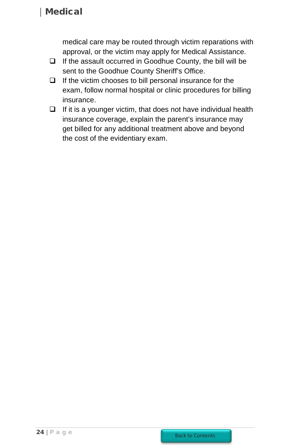medical care may be routed through victim reparations with approval, or the victim may apply for Medical Assistance.

- $\Box$  If the assault occurred in Goodhue County, the bill will be sent to the Goodhue County Sheriff's Office.
- $\Box$  If the victim chooses to bill personal insurance for the exam, follow normal hospital or clinic procedures for billing insurance.
- $\Box$  If it is a younger victim, that does not have individual health insurance coverage, explain the parent's insurance may get billed for any additional treatment above and beyond the cost of the evidentiary exam.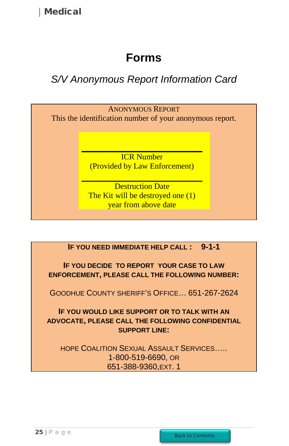# **Forms**

# <span id="page-24-1"></span><span id="page-24-0"></span>*S/V Anonymous Report Information Card*



**IF YOU NEED IMMEDIATE HELP CALL : 9-1-1**

**IF YOU DECIDE TO REPORT YOUR CASE TO LAW ENFORCEMENT, PLEASE CALL THE FOLLOWING NUMBER:** 

GOODHUE COUNTY SHERIFF'S OFFICE… 651-267-2624

**IF YOU WOULD LIKE SUPPORT OR TO TALK WITH AN ADVOCATE, PLEASE CALL THE FOLLOWING CONFIDENTIAL SUPPORT LINE:**

HOPE COALITION SEXUAL ASSAULT SERVICES….. 1-800-519-6690, OR 651-388-9360,EXT. 1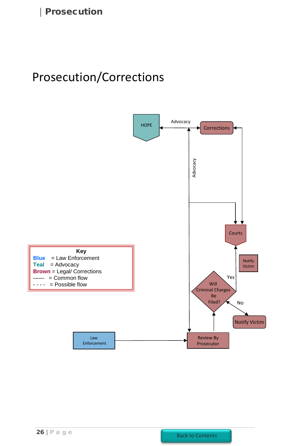# <span id="page-25-0"></span>Prosecution/Corrections

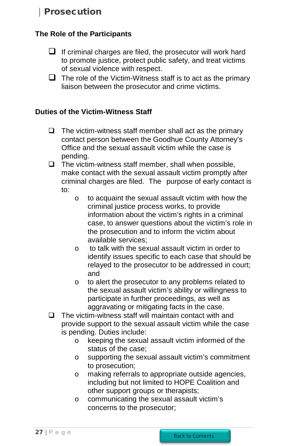## <span id="page-26-1"></span><span id="page-26-0"></span>**The Role of the Participants**

- $\Box$  If criminal charges are filed, the prosecutor will work hard to promote justice, protect public safety, and treat victims of sexual violence with respect.
- $\Box$  The role of the Victim-Witness staff is to act as the primary liaison between the prosecutor and crime victims.

## **Duties of the Victim-Witness Staff**

- $\Box$  The victim-witness staff member shall act as the primary contact person between the Goodhue County Attorney's Office and the sexual assault victim while the case is pending.
- $\Box$  The victim-witness staff member, shall when possible, make contact with the sexual assault victim promptly after criminal charges are filed. The purpose of early contact is to:
	- o to acquaint the sexual assault victim with how the criminal justice process works, to provide information about the victim's rights in a criminal case, to answer questions about the victim's role in the prosecution and to inform the victim about available services;
	- o to talk with the sexual assault victim in order to identify issues specific to each case that should be relayed to the prosecutor to be addressed in court; and
	- o to alert the prosecutor to any problems related to the sexual assault victim's ability or willingness to participate in further proceedings, as well as aggravating or mitigating facts in the case.
- $\Box$  The victim-witness staff will maintain contact with and provide support to the sexual assault victim while the case is pending. Duties include:
	- o keeping the sexual assault victim informed of the status of the case;
	- o supporting the sexual assault victim's commitment to prosecution;
	- o making referrals to appropriate outside agencies, including but not limited to HOPE Coalition and other support groups or therapists;
	- o communicating the sexual assault victim's concerns to the prosecutor;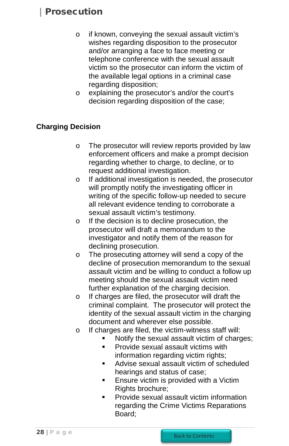- <span id="page-27-0"></span>o if known, conveying the sexual assault victim's wishes regarding disposition to the prosecutor and/or arranging a face to face meeting or telephone conference with the sexual assault victim so the prosecutor can inform the victim of the available legal options in a criminal case regarding disposition;
- o explaining the prosecutor's and/or the court's decision regarding disposition of the case;

## **Charging Decision**

- o The prosecutor will review reports provided by law enforcement officers and make a prompt decision regarding whether to charge, to decline, or to request additional investigation.
- o If additional investigation is needed, the prosecutor will promptly notify the investigating officer in writing of the specific follow-up needed to secure all relevant evidence tending to corroborate a sexual assault victim's testimony.
- o If the decision is to decline prosecution, the prosecutor will draft a memorandum to the investigator and notify them of the reason for declining prosecution.
- o The prosecuting attorney will send a copy of the decline of prosecution memorandum to the sexual assault victim and be willing to conduct a follow up meeting should the sexual assault victim need further explanation of the charging decision.
- o If charges are filed, the prosecutor will draft the criminal complaint. The prosecutor will protect the identity of the sexual assault victim in the charging document and wherever else possible.
- o If charges are filed, the victim-witness staff will:
	- Notify the sexual assault victim of charges;
	- Provide sexual assault victims with information regarding victim rights;
	- **Advise sexual assault victim of scheduled** hearings and status of case;
	- **Ensure victim is provided with a Victim** Rights brochure;
	- **Provide sexual assault victim information** regarding the Crime Victims Reparations Board;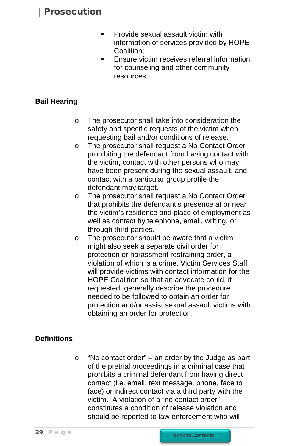- **Provide sexual assault victim with** information of services provided by HOPE Coalition;
- **Ensure victim receives referral information** for counseling and other community resources.

## <span id="page-28-0"></span>**Bail Hearing**

- o The prosecutor shall take into consideration the safety and specific requests of the victim when requesting bail and/or conditions of release.
- o The prosecutor shall request a No Contact Order prohibiting the defendant from having contact with the victim, contact with other persons who may have been present during the sexual assault, and contact with a particular group profile the defendant may target.
- o The prosecutor shall request a No Contact Order that prohibits the defendant's presence at or near the victim's residence and place of employment as well as contact by telephone, email, writing, or through third parties.
- o The prosecutor should be aware that a victim might also seek a separate civil order for protection or harassment restraining order, a violation of which is a crime. Victim Services Staff will provide victims with contact information for the HOPE Coalition so that an advocate could, if requested, generally describe the procedure needed to be followed to obtain an order for protection and/or assist sexual assault victims with obtaining an order for protection.

#### **Definitions**

o "No contact order" – an order by the Judge as part of the pretrial proceedings in a criminal case that prohibits a criminal defendant from having direct contact (i.e. email, text message, phone, face to face) or indirect contact via a third party with the victim. A violation of a "no contact order" constitutes a condition of release violation and should be reported to law enforcement who will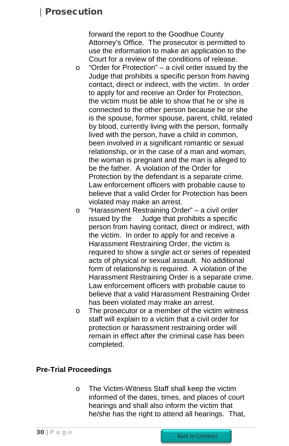<span id="page-29-0"></span>forward the report to the Goodhue County Attorney's Office. The prosecutor is permitted to use the information to make an application to the Court for a review of the conditions of release.

- $\circ$  "Order for Protection" a civil order issued by the Judge that prohibits a specific person from having contact, direct or indirect, with the victim. In order to apply for and receive an Order for Protection, the victim must be able to show that he or she is connected to the other person because he or she is the spouse, former spouse, parent, child, related by blood, currently living with the person, formally lived with the person, have a child in common, been involved in a significant romantic or sexual relationship, or in the case of a man and woman, the woman is pregnant and the man is alleged to be the father. A violation of the Order for Protection by the defendant is a separate crime. Law enforcement officers with probable cause to believe that a valid Order for Protection has been violated may make an arrest.
- o "Harassment Restraining Order" a civil order Judge that prohibits a specific person from having contact, direct or indirect, with the victim. In order to apply for and receive a Harassment Restraining Order, the victim is required to show a single act or series of repeated acts of physical or sexual assault. No additional form of relationship is required. A violation of the Harassment Restraining Order is a separate crime. Law enforcement officers with probable cause to believe that a valid Harassment Restraining Order has been violated may make an arrest.
- o The prosecutor or a member of the victim witness staff will explain to a victim that a civil order for protection or harassment restraining order will remain in effect after the criminal case has been completed.

#### **Pre-Trial Proceedings**

o The Victim-Witness Staff shall keep the victim informed of the dates, times, and places of court hearings and shall also inform the victim that he/she has the right to attend all hearings. That,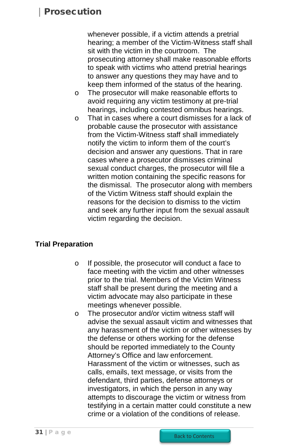<span id="page-30-0"></span>whenever possible, if a victim attends a pretrial hearing; a member of the Victim-Witness staff shall sit with the victim in the courtroom. The prosecuting attorney shall make reasonable efforts to speak with victims who attend pretrial hearings to answer any questions they may have and to keep them informed of the status of the hearing.

- o The prosecutor will make reasonable efforts to avoid requiring any victim testimony at pre-trial hearings, including contested omnibus hearings.
- $\circ$  That in cases where a court dismisses for a lack of probable cause the prosecutor with assistance from the Victim-Witness staff shall immediately notify the victim to inform them of the court's decision and answer any questions. That in rare cases where a prosecutor dismisses criminal sexual conduct charges, the prosecutor will file a written motion containing the specific reasons for the dismissal. The prosecutor along with members of the Victim Witness staff should explain the reasons for the decision to dismiss to the victim and seek any further input from the sexual assault victim regarding the decision.

#### **Trial Preparation**

- o If possible, the prosecutor will conduct a face to face meeting with the victim and other witnesses prior to the trial. Members of the Victim Witness staff shall be present during the meeting and a victim advocate may also participate in these meetings whenever possible.
- o The prosecutor and/or victim witness staff will advise the sexual assault victim and witnesses that any harassment of the victim or other witnesses by the defense or others working for the defense should be reported immediately to the County Attorney's Office and law enforcement. Harassment of the victim or witnesses, such as calls, emails, text message, or visits from the defendant, third parties, defense attorneys or investigators, in which the person in any way attempts to discourage the victim or witness from testifying in a certain matter could constitute a new crime or a violation of the conditions of release.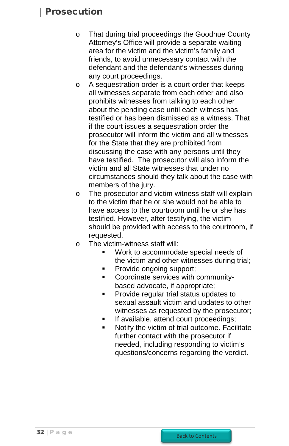- o That during trial proceedings the Goodhue County Attorney's Office will provide a separate waiting area for the victim and the victim's family and friends, to avoid unnecessary contact with the defendant and the defendant's witnesses during any court proceedings.
- o A sequestration order is a court order that keeps all witnesses separate from each other and also prohibits witnesses from talking to each other about the pending case until each witness has testified or has been dismissed as a witness. That if the court issues a sequestration order the prosecutor will inform the victim and all witnesses for the State that they are prohibited from discussing the case with any persons until they have testified. The prosecutor will also inform the victim and all State witnesses that under no circumstances should they talk about the case with members of the jury.
- o The prosecutor and victim witness staff will explain to the victim that he or she would not be able to have access to the courtroom until he or she has testified. However, after testifying, the victim should be provided with access to the courtroom, if requested.
- o The victim-witness staff will:
	- Work to accommodate special needs of the victim and other witnesses during trial;
	- Provide ongoing support;
	- Coordinate services with communitybased advocate, if appropriate;
	- Provide regular trial status updates to sexual assault victim and updates to other witnesses as requested by the prosecutor;
	- If available, attend court proceedings;
	- Notify the victim of trial outcome. Facilitate further contact with the prosecutor if needed, including responding to victim's questions/concerns regarding the verdict.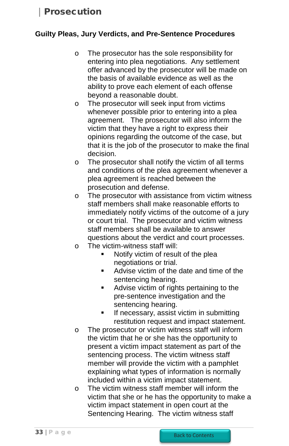### <span id="page-32-0"></span>**Guilty Pleas, Jury Verdicts, and Pre-Sentence Procedures**

- o The prosecutor has the sole responsibility for entering into plea negotiations. Any settlement offer advanced by the prosecutor will be made on the basis of available evidence as well as the ability to prove each element of each offense beyond a reasonable doubt.
- o The prosecutor will seek input from victims whenever possible prior to entering into a plea agreement. The prosecutor will also inform the victim that they have a right to express their opinions regarding the outcome of the case, but that it is the job of the prosecutor to make the final decision.
- o The prosecutor shall notify the victim of all terms and conditions of the plea agreement whenever a plea agreement is reached between the prosecution and defense.
- o The prosecutor with assistance from victim witness staff members shall make reasonable efforts to immediately notify victims of the outcome of a jury or court trial. The prosecutor and victim witness staff members shall be available to answer questions about the verdict and court processes.
- o The victim-witness staff will:
	- Notify victim of result of the plea negotiations or trial.
	- Advise victim of the date and time of the sentencing hearing.
	- **Advise victim of rights pertaining to the** pre-sentence investigation and the sentencing hearing.
	- **If necessary, assist victim in submitting** restitution request and impact statement.
- o The prosecutor or victim witness staff will inform the victim that he or she has the opportunity to present a victim impact statement as part of the sentencing process. The victim witness staff member will provide the victim with a pamphlet explaining what types of information is normally included within a victim impact statement.
- o The victim witness staff member will inform the victim that she or he has the opportunity to make a victim impact statement in open court at the Sentencing Hearing. The victim witness staff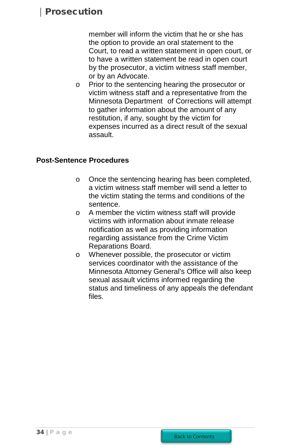<span id="page-33-0"></span>member will inform the victim that he or she has the option to provide an oral statement to the Court, to read a written statement in open court, or to have a written statement be read in open court by the prosecutor, a victim witness staff member, or by an Advocate.

o Prior to the sentencing hearing the prosecutor or victim witness staff and a representative from the Minnesota Department of Corrections will attempt to gather information about the amount of any restitution, if any, sought by the victim for expenses incurred as a direct result of the sexual assault.

#### **Post-Sentence Procedures**

- o Once the sentencing hearing has been completed, a victim witness staff member will send a letter to the victim stating the terms and conditions of the sentence.
- o A member the victim witness staff will provide victims with information about inmate release notification as well as providing information regarding assistance from the Crime Victim Reparations Board.
- o Whenever possible, the prosecutor or victim services coordinator with the assistance of the Minnesota Attorney General's Office will also keep sexual assault victims informed regarding the status and timeliness of any appeals the defendant files.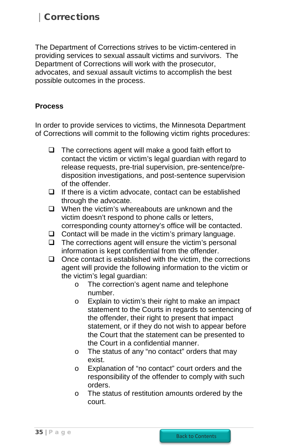# <span id="page-34-1"></span>Corrections

<span id="page-34-0"></span>The Department of Corrections strives to be victim-centered in providing services to sexual assault victims and survivors. The Department of Corrections will work with the prosecutor, advocates, and sexual assault victims to accomplish the best possible outcomes in the process.

### **Process**

In order to provide services to victims, the Minnesota Department of Corrections will commit to the following victim rights procedures:

- $\Box$  The corrections agent will make a good faith effort to contact the victim or victim's legal guardian with regard to release requests, pre-trial supervision, pre-sentence/predisposition investigations, and post-sentence supervision of the offender.
- $\Box$  If there is a victim advocate, contact can be established through the advocate.
- $\Box$  When the victim's whereabouts are unknown and the victim doesn't respond to phone calls or letters, corresponding county attorney's office will be contacted.
- $\Box$  Contact will be made in the victim's primary language.
- $\Box$  The corrections agent will ensure the victim's personal information is kept confidential from the offender.
- $\Box$  Once contact is established with the victim, the corrections agent will provide the following information to the victim or the victim's legal guardian:
	- o The correction's agent name and telephone number.
	- o Explain to victim's their right to make an impact statement to the Courts in regards to sentencing of the offender, their right to present that impact statement, or if they do not wish to appear before the Court that the statement can be presented to the Court in a confidential manner.
	- o The status of any "no contact" orders that may exist.
	- o Explanation of "no contact" court orders and the responsibility of the offender to comply with such orders.
	- o The status of restitution amounts ordered by the court.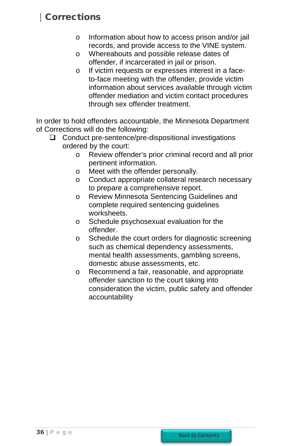# **Corrections**

- o Information about how to access prison and/or jail records, and provide access to the VINE system.
- o Whereabouts and possible release dates of offender, if incarcerated in jail or prison.
- o If victim requests or expresses interest in a faceto-face meeting with the offender, provide victim information about services available through victim offender mediation and victim contact procedures through sex offender treatment.

In order to hold offenders accountable, the Minnesota Department of Corrections will do the following:

- $\Box$  Conduct pre-sentence/pre-dispositional investigations ordered by the court:
	- o Review offender's prior criminal record and all prior pertinent information.
	- o Meet with the offender personally.
	- o Conduct appropriate collateral research necessary to prepare a comprehensive report.
	- o Review Minnesota Sentencing Guidelines and complete required sentencing guidelines worksheets.
	- o Schedule psychosexual evaluation for the offender.
	- o Schedule the court orders for diagnostic screening such as chemical dependency assessments, mental health assessments, gambling screens, domestic abuse assessments, etc.
	- o Recommend a fair, reasonable, and appropriate offender sanction to the court taking into consideration the victim, public safety and offender accountability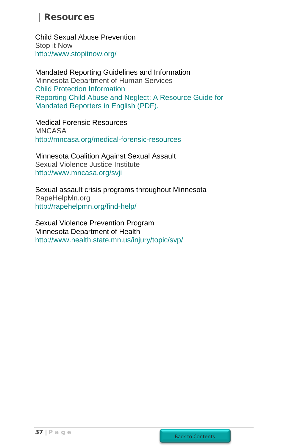# **Resources**

<span id="page-36-0"></span>Child Sexual Abuse Prevention Stop it Now <http://www.stopitnow.org/>

Mandated Reporting Guidelines and Information Minnesota Department of Human Services [Child Protection Information](http://www.dhs.state.mn.us/main/idcplg?IdcService=GET_DYNAMIC_CONVERSION&RevisionSelectionMethod=LatestReleased&dDocName=id_000152) [Reporting Child Abuse and Neglect: A Resource Guide for](https://edocs.dhs.state.mn.us/lfserver/Public/DHS-2917-ENG)  [Mandated Reporters in English \(PDF\).](https://edocs.dhs.state.mn.us/lfserver/Public/DHS-2917-ENG)

Medical Forensic Resources MNCASA <http://mncasa.org/medical-forensic-resources>

Minnesota Coalition Against Sexual Assault Sexual Violence Justice Institute <http://www.mncasa.org/svji>

Sexual assault crisis programs throughout Minnesota RapeHelpMn.org <http://rapehelpmn.org/find-help/>

Sexual Violence Prevention Program Minnesota Department of Health <http://www.health.state.mn.us/injury/topic/svp/>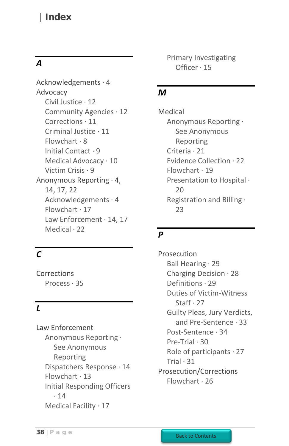## <span id="page-37-0"></span>Index

## *A*

[Acknowledgements · 4](#page-3-0) [Advocacy](#page-7-0) [Civil Justice · 12](#page-11-0) [Community Agencies · 12](#page-11-0) [Corrections · 11](#page-10-0) [Criminal Justice · 11](#page-10-0) [Flowchart · 8](#page-7-0) [Initial Contact · 9](#page-8-0) [Medical Advocacy · 10](#page-9-0) [Victim Crisis · 9](#page-8-1) Anonymous Reporting · [4,](#page-3-0) [14,](#page-13-0) [17,](#page-16-0) [22](#page-21-0) [Acknowledgements · 4](#page-3-0) [Flowchart · 17](#page-17-0) Law Enforcement [· 14,](#page-13-0) [17](#page-16-0) Medical · [22](#page-21-0)

## *C*

Corrections [Process · 35](#page-34-1)

## *L*

Law Enforcement Anonymous Reporting · See Anonymous Reporting [Dispatchers Response · 14](#page-13-0) Flowchart  $\cdot$  13 [Initial Responding Officers](#page-13-0)  · [14](#page-13-0) [Medical Facility · 17](#page-16-0)

[Primary Investigating](#page-14-0)  [Officer · 15](#page-14-0)

## *M*

[Medical](#page-18-0) Anonymous Reporting · See Anonymous Reporting [Criteria · 21](#page-20-0) [Evidence Collection · 22](#page-21-2)  [Flowchart · 19](#page-18-0) [Presentation to Hospital ·](#page-19-0)   $20$ [Registration and Billing ·](#page-22-0)  [23](#page-22-0)

## *P*

[Prosecution](#page-25-0) [Bail Hearing · 29](#page-28-0) [Charging Decision · 28](#page-27-0) [Definitions · 29](#page-28-0) [Duties of Victim-Witness](#page-26-0)  [Staff · 27](#page-26-0) [Guilty Pleas, Jury Verdicts,](#page-32-0)  [and Pre-Sentence · 33](#page-32-0) [Post-Sentence · 34](#page-33-0) [Pre-Trial · 30](#page-29-0) [Role of participants · 27](#page-26-1) Trial  $\cdot$  31 [Prosecution/Corrections](#page-25-0) [Flowchart · 26](#page-25-0)